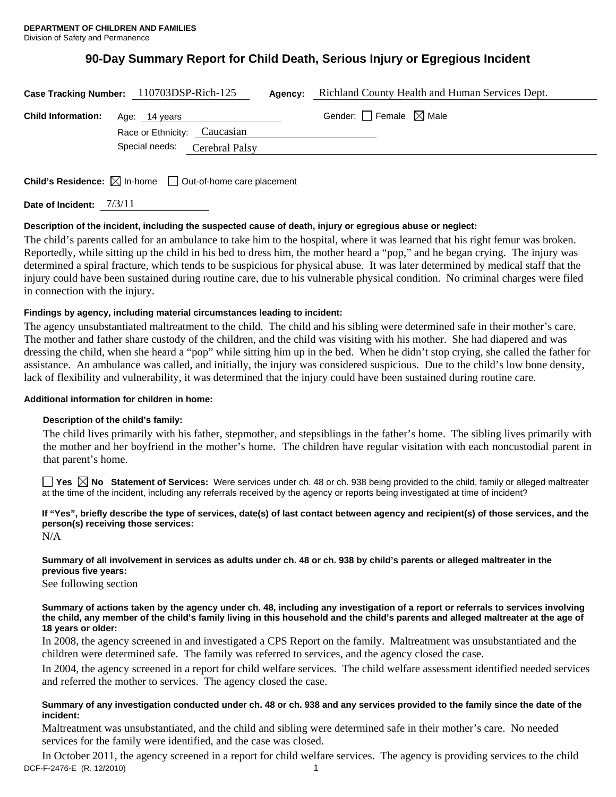# **90-Day Summary Report for Child Death, Serious Injury or Egregious Incident**

| Case Tracking Number: 110703DSP-Rich-125 |                                               |                | Agency: | Richland County Health and Human Services Dept. |
|------------------------------------------|-----------------------------------------------|----------------|---------|-------------------------------------------------|
| <b>Child Information:</b>                | Age: 14 years<br>Race or Ethnicity: Caucasian |                |         | Gender: $\Box$ Female $\boxtimes$ Male          |
|                                          | Special needs:                                | Cerebral Palsy |         |                                                 |
|                                          |                                               |                |         |                                                 |

**Child's Residence:**  $\boxtimes$  In-home  $\Box$  Out-of-home care placement

| Date of Incident: | 7/3/11 |
|-------------------|--------|
|                   |        |

### **Description of the incident, including the suspected cause of death, injury or egregious abuse or neglect:**

The child's parents called for an ambulance to take him to the hospital, where it was learned that his right femur was broken. Reportedly, while sitting up the child in his bed to dress him, the mother heard a "pop," and he began crying. The injury was determined a spiral fracture, which tends to be suspicious for physical abuse. It was later determined by medical staff that the injury could have been sustained during routine care, due to his vulnerable physical condition. No criminal charges were filed in connection with the injury.

### **Findings by agency, including material circumstances leading to incident:**

The agency unsubstantiated maltreatment to the child. The child and his sibling were determined safe in their mother's care. The mother and father share custody of the children, and the child was visiting with his mother. She had diapered and was dressing the child, when she heard a "pop" while sitting him up in the bed. When he didn't stop crying, she called the father for assistance. An ambulance was called, and initially, the injury was considered suspicious. Due to the child's low bone density, lack of flexibility and vulnerability, it was determined that the injury could have been sustained during routine care.

### **Additional information for children in home:**

### **Description of the child's family:**

The child lives primarily with his father, stepmother, and stepsiblings in the father's home. The sibling lives primarily with the mother and her boyfriend in the mother's home. The children have regular visitation with each noncustodial parent in that parent's home.

■ Yes **No** Statement of Services: Were services under ch. 48 or ch. 938 being provided to the child, family or alleged maltreater at the time of the incident, including any referrals received by the agency or reports being investigated at time of incident?

# **If "Yes", briefly describe the type of services, date(s) of last contact between agency and recipient(s) of those services, and the person(s) receiving those services:**

N/A

## **Summary of all involvement in services as adults under ch. 48 or ch. 938 by child's parents or alleged maltreater in the previous five years:**

See following section

### **Summary of actions taken by the agency under ch. 48, including any investigation of a report or referrals to services involving the child, any member of the child's family living in this household and the child's parents and alleged maltreater at the age of 18 years or older:**

In 2008, the agency screened in and investigated a CPS Report on the family. Maltreatment was unsubstantiated and the children were determined safe. The family was referred to services, and the agency closed the case.

In 2004, the agency screened in a report for child welfare services. The child welfare assessment identified needed services and referred the mother to services. The agency closed the case.

### **Summary of any investigation conducted under ch. 48 or ch. 938 and any services provided to the family since the date of the incident:**

Maltreatment was unsubstantiated, and the child and sibling were determined safe in their mother's care. No needed services for the family were identified, and the case was closed.

DCF-F-2476-E (R. 12/2010) 1 In October 2011, the agency screened in a report for child welfare services. The agency is providing services to the child